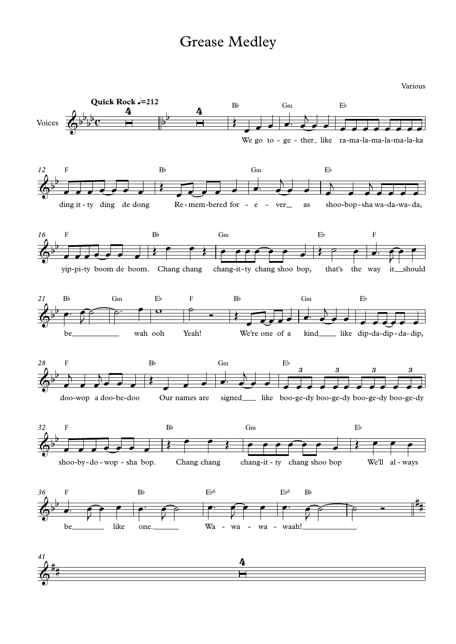Various

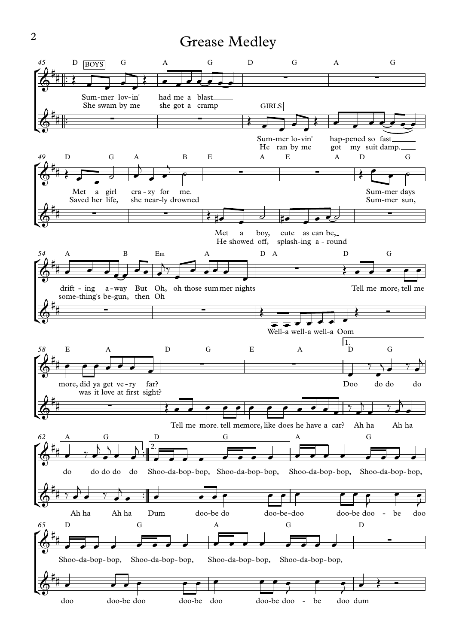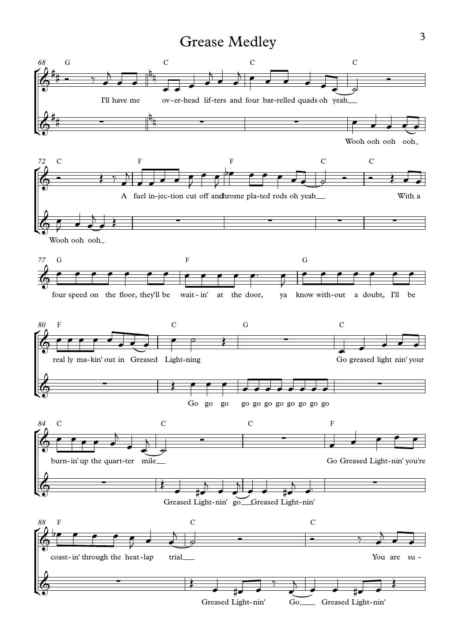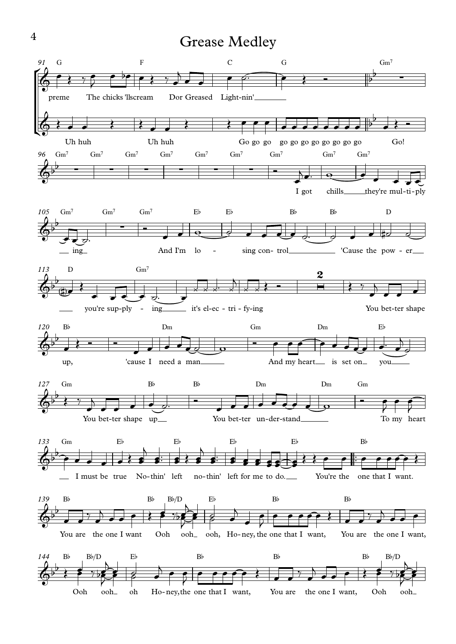